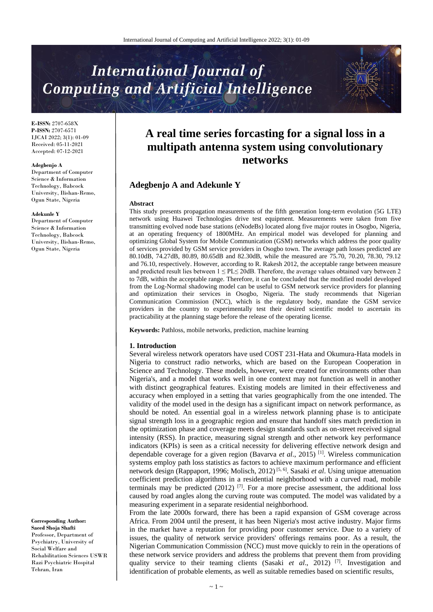# **International Journal of Computing and Artificial Intelligence**

**E-ISSN:** 2707-658X **P-ISSN:** 2707-6571 IJCAI 2022; 3(1): 01-09 Received: 05-11-2021 Accepted: 07-12-2021

#### **Adegbenjo A**

Department of Computer Science & Information Technology, Babcock University, Ilishan-Remo, Ogun State, Nigeria

#### **Adekunle Y**

Department of Computer Science & Information Technology, Babcock University, Ilishan-Remo, Ogun State, Nigeria

# **Corresponding Author:**

**Saeed Shoja Shafti** Professor, Department of Psychiatry, University of Social Welfare and Rehabilitation Sciences USWR Razi Psychiatric Hospital Tehran, Iran

# **A real time series forcasting for a signal loss in a multipath antenna system using convolutionary networks**

# **Adegbenjo A and Adekunle Y**

#### **Abstract**

This study presents propagation measurements of the fifth generation long-term evolution (5G LTE) network using Huawei Technologies drive test equipment. Measurements were taken from five transmitting evolved node base stations (eNodeBs) located along five major routes in Osogbo, Nigeria, at an operating frequency of 1800MHz. An empirical model was developed for planning and optimizing Global System for Mobile Communication (GSM) networks which address the poor quality of services provided by GSM service providers in Osogbo town. The average path losses predicted are 80.10dB, 74.27dB, 80.89, 80.65dB and 82.30dB, while the measured are 75.70, 70.20, 78.30, 79.12 and 76.10, respectively. However, according to R. Rakesh 2012, the acceptable range between measure and predicted result lies between  $1 \leq PL \leq 20$ dB. Therefore, the average values obtained vary between 2 to 7dB, within the acceptable range. Therefore, it can be concluded that the modified model developed from the Log-Normal shadowing model can be useful to GSM network service providers for planning and optimization their services in Osogbo, Nigeria. The study recommends that Nigerian Communication Commission (NCC), which is the regulatory body, mandate the GSM service providers in the country to experimentally test their desired scientific model to ascertain its practicability at the planning stage before the release of the operating license.

**Keywords:** Pathloss, mobile networks, prediction, machine learning

#### **1. Introduction**

Several wireless network operators have used COST 231-Hata and Okumura-Hata models in Nigeria to construct radio networks, which are based on the European Cooperation in Science and Technology. These models, however, were created for environments other than Nigeria's, and a model that works well in one context may not function as well in another with distinct geographical features. Existing models are limited in their effectiveness and accuracy when employed in a setting that varies geographically from the one intended. The validity of the model used in the design has a significant impact on network performance, as should be noted. An essential goal in a wireless network planning phase is to anticipate signal strength loss in a geographic region and ensure that handoff sites match prediction in the optimization phase and coverage meets design standards such as on-street received signal intensity (RSS). In practice, measuring signal strength and other network key performance indicators (KPIs) is seen as a critical necessity for delivering effective network design and dependable coverage for a given region (Bavarva *et al*., 2015) [1] . Wireless communication systems employ path loss statistics as factors to achieve maximum performance and efficient network design (Rappaport, 1996; Molisch, 2012)<sup>[5,6]</sup>. Sasaki *et al*. Using unique attenuation coefficient prediction algorithms in a residential neighborhood with a curved road, mobile terminals may be predicted  $(2012)$  [7]. For a more precise assessment, the additional loss caused by road angles along the curving route was computed. The model was validated by a measuring experiment in a separate residential neighborhood.

From the late 2000s forward, there has been a rapid expansion of GSM coverage across Africa. From 2004 until the present, it has been Nigeria's most active industry. Major firms in the market have a reputation for providing poor customer service. Due to a variety of issues, the quality of network service providers' offerings remains poor. As a result, the Nigerian Communication Commission (NCC) must move quickly to rein in the operations of these network service providers and address the problems that prevent them from providing quality service to their teaming clients (Sasaki et al., 2012)<sup>[7]</sup>. Investigation and identification of probable elements, as well as suitable remedies based on scientific results,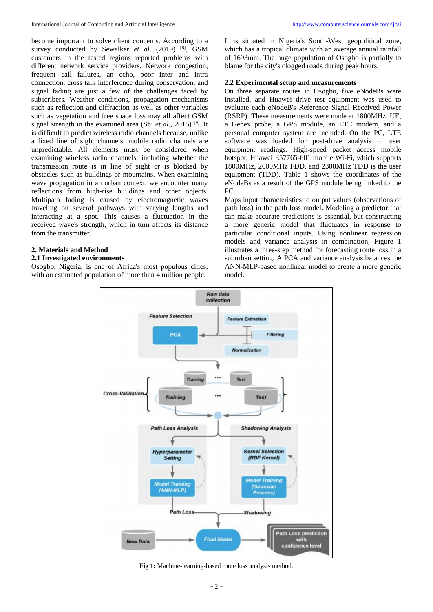become important to solve client concerns. According to a survey conducted by Sewalker *et al.* (2019) <sup>[8]</sup>, GSM customers in the tested regions reported problems with different network service providers. Network congestion, frequent call failures, an echo, poor inter and intra connection, cross talk interference during conservation, and signal fading are just a few of the challenges faced by subscribers. Weather conditions, propagation mechanisms such as reflection and diffraction as well as other variables such as vegetation and free space loss may all affect GSM signal strength in the examined area (Shi *et al*., 2015) [9] . It is difficult to predict wireless radio channels because, unlike a fixed line of sight channels, mobile radio channels are unpredictable. All elements must be considered when examining wireless radio channels, including whether the transmission route is in line of sight or is blocked by obstacles such as buildings or mountains. When examining wave propagation in an urban context, we encounter many reflections from high-rise buildings and other objects. Multipath fading is caused by electromagnetic waves traveling on several pathways with varying lengths and interacting at a spot. This causes a fluctuation in the received wave's strength, which in turn affects its distance from the transmitter.

## **2. Materials and Method**

#### **2.1 Investigated environments**

Osogbo, Nigeria, is one of Africa's most populous cities, with an estimated population of more than 4 million people.

It is situated in Nigeria's South-West geopolitical zone, which has a tropical climate with an average annual rainfall of 1693mm. The huge population of Osogbo is partially to blame for the city's clogged roads during peak hours.

# **2.2 Experimental setup and measurements**

On three separate routes in Osogbo, five eNodeBs were installed, and Huawei drive test equipment was used to evaluate each eNodeB's Reference Signal Received Power (RSRP). These measurements were made at 1800MHz. UE, a Genex probe, a GPS module, an LTE modem, and a personal computer system are included. On the PC, LTE software was loaded for post-drive analysis of user equipment readings. High-speed packet access mobile hotspot, Huawei E57765-601 mobile Wi-Fi, which supports 1800MHz, 2600MHz FDD, and 2300MHz TDD is the user equipment (TDD). Table 1 shows the coordinates of the eNodeBs as a result of the GPS module being linked to the PC.

Maps input characteristics to output values (observations of path loss) in the path loss model. Modeling a predictor that can make accurate predictions is essential, but constructing a more generic model that fluctuates in response to particular conditional inputs. Using nonlinear regression models and variance analysis in combination, Figure 1 illustrates a three-step method for forecasting route loss in a suburban setting. A PCA and variance analysis balances the ANN-MLP-based nonlinear model to create a more generic model.



**Fig 1:** Machine-learning-based route loss analysis method.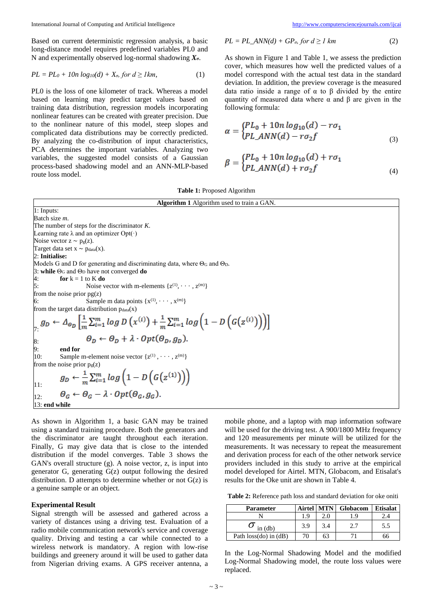Based on current deterministic regression analysis, a basic long-distance model requires predefined variables PL0 and N and experimentally observed log-normal shadowing *Xσ*.

$$
PL = PL_0 + 10n \log_{10}(d) + X_{\sigma}, \text{for } d \geq 1 \text{ km}, \tag{1}
$$

PL0 is the loss of one kilometer of track. Whereas a model based on learning may predict target values based on training data distribution, regression models incorporating nonlinear features can be created with greater precision. Due to the nonlinear nature of this model, steep slopes and complicated data distributions may be correctly predicted. By analyzing the co-distribution of input characteristics, PCA determines the important variables. Analyzing two variables, the suggested model consists of a Gaussian process-based shadowing model and an ANN-MLP-based route loss model.

$$
PL = PL\_ANN(d) + GP_o, for d \ge l \ km \tag{2}
$$

As shown in Figure 1 and Table 1, we assess the prediction cover, which measures how well the predicted values of a model correspond with the actual test data in the standard deviation. In addition, the preview coverage is the measured data ratio inside a range of α to β divided by the entire quantity of measured data where α and β are given in the following formula:

$$
\alpha = \begin{cases} PL_0 + 10n \log_{10}(d) - r\sigma_1 \\ PL\_ANN(d) - r\sigma_2 f \end{cases} \tag{3}
$$

$$
\beta = \begin{cases} PL_0 + 10n \log_{10}(d) + r\sigma_1 \\ PL\_ANN(d) + r\sigma_2 f \end{cases}
$$
\n(4)

#### **Table 1:** Proposed Algorithm

**Algorithm 1** Algorithm used to train a GAN. 1: Inputs: Batch size *m*. The number of steps for the discriminator *K*. Learning rate  $\lambda$  and an optimizer Opt $(\cdot)$ Noise vector  $z \sim p_g(z)$ . Target data set  $x \sim p_{data}(x)$ . 2: **Initialise:** Models G and D for generating and discriminating data, where  $\Theta$ G and  $\Theta$ D. 3: **while** Θ<sup>G</sup> and Θ<sup>D</sup> have not converged **do** 4: **for**  $k = 1$  to **K** do 5: Noise vector with m-elements  $\{z^{(1)}, \dots, z^{(m)}\}$ from the noise prior  $pg(z)$ Sample m data points  $\{x^{(1)}, \dots, x^{(m)}\}$ from the target data distribution  $p_{data}(x)$  $\mathcal{I}_{\mathcal{I}_{\mathcal{I}}} g_D \leftarrow \Delta_{\varphi_D} \left[ \frac{1}{m} \sum_{i=1}^m \log D\left(x^{(i)}\right) + \frac{1}{m} \sum_{i=1}^m \log \left(1 - D\left(G\left(z^{(i)}\right)\right)\right) \right]$  $\Theta_D \leftarrow \Theta_D + \lambda \cdot Opt(\Theta_D, g_D).$  $\frac{8}{9}$ : 9: **end for** 10: Sample m-element noise vector  $\{z^{(1)}, \dots, z^{(m)}\}$ from the noise prior  $p_g(z)$ <br>  $g_D \leftarrow \frac{1}{m} \sum_{i=1}^m log\left(1 - D\left(G\left(z^{(1)}\right)\right)\right)$ 11:  $\Theta_G \leftarrow \Theta_G - \lambda \cdot Opt(\Theta_G, g_G).$ 12: 13: **end while**

As shown in Algorithm 1, a basic GAN may be trained using a standard training procedure. Both the generators and the discriminator are taught throughout each iteration. Finally, G may give data that is close to the intended distribution if the model converges. Table 3 shows the GAN's overall structure (g). A noise vector, z, is input into generator G, generating G(z) output following the desired distribution. D attempts to determine whether or not  $G(z)$  is a genuine sample or an object.

#### **Experimental Result**

Signal strength will be assessed and gathered across a variety of distances using a driving test. Evaluation of a radio mobile communication network's service and coverage quality. Driving and testing a car while connected to a wireless network is mandatory. A region with low-rise buildings and greenery around it will be used to gather data from Nigerian driving exams. A GPS receiver antenna, a mobile phone, and a laptop with map information software will be used for the driving test. A 900/1800 MHz frequency and 120 measurements per minute will be utilized for the measurements. It was necessary to repeat the measurement and derivation process for each of the other network service providers included in this study to arrive at the empirical model developed for Airtel. MTN, Globacom, and Etisalat's results for the Oke unit are shown in Table 4.

**Table 2:** Reference path loss and standard deviation for oke oniti

| <b>Parameter</b>          | Airtel MTN |     | Globacom | <b>Etisalat</b> |
|---------------------------|------------|-----|----------|-----------------|
|                           | . . 9      |     |          |                 |
| in (db)                   | 3.9        | 3.4 |          | 5.5             |
| Path $loss(do)$ in $(dB)$ | 70         | 63  |          | 66              |

In the Log-Normal Shadowing Model and the modified Log-Normal Shadowing model, the route loss values were replaced.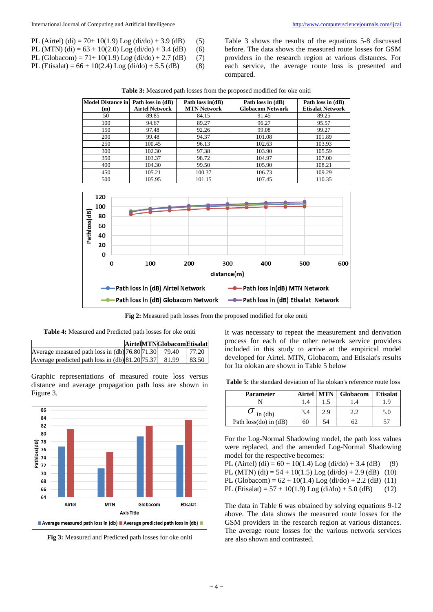- PL (Airtel) (di) = 70+ 10(1.9) Log (di/do) + 3.9 (dB) (5)
- PL (MTN) (di) =  $63 + 10(2.0)$  Log (di/do) + 3.4 (dB) (6)
- PL (Globacom) = 71+ 10(1.9) Log (di/do) + 2.7 (dB) (7)
- PL (Etisalat) =  $66 + 10(2.4)$  Log (di/do) + 5.5 (dB) (8)

Table 3 shows the results of the equations 5-8 discussed before. The data shows the measured route losses for GSM providers in the research region at various distances. For each service, the average route loss is presented and compared.

**Table 3:** Measured path losses from the proposed modified for oke oniti

| Model Distance in Path loss in (dB) |                       | Path loss $in(dB)$ | Path loss in (dB)       | Path loss in (dB)       |
|-------------------------------------|-----------------------|--------------------|-------------------------|-------------------------|
| (m)                                 | <b>Airtel Network</b> | <b>MTN Network</b> | <b>Globacom Network</b> | <b>Etisalat Network</b> |
| 50                                  | 89.85                 | 84.15              | 91.45                   | 89.25                   |
| 100                                 | 94.67                 | 89.27              | 96.27                   | 95.57                   |
| 150                                 | 97.48                 | 92.26              | 99.08                   | 99.27                   |
| 200                                 | 99.48                 | 94.37              | 101.08                  | 101.89                  |
| 250                                 | 100.45                | 96.13              | 102.63                  | 103.93                  |
| 300                                 | 102.30                | 97.38              | 103.90                  | 105.59                  |
| 350                                 | 103.37                | 98.72              | 104.97                  | 107.00                  |
| 400                                 | 104.30                | 99.50              | 105.90                  | 108.21                  |
| 450                                 | 105.21                | 100.37             | 106.73                  | 109.29                  |
| 500                                 | 105.95                | 101.15             | 107.45                  | 110.35                  |



**Fig 2:** Measured path losses from the proposed modified for oke oniti

**Table 4:** Measured and Predicted path losses for oke oniti

|                                                 |  | AirtelMTNGlobacomEtisalat |        |
|-------------------------------------------------|--|---------------------------|--------|
| Average measured path loss in (db) 76.80 71.30  |  | 79.40                     | 177.20 |
| Average predicted path loss in (db) 81.20 75.37 |  | 81.99                     | 83.50  |

Graphic representations of measured route loss versus distance and average propagation path loss are shown in Figure 3.



**Fig 3:** Measured and Predicted path losses for oke oniti

It was necessary to repeat the measurement and derivation process for each of the other network service providers included in this study to arrive at the empirical model developed for Airtel. MTN, Globacom, and Etisalat's results for Ita olokan are shown in Table 5 below

**Table 5:** the standard deviation of Ita olokan's reference route loss

| <b>Parameter</b>          |     | Airtel   MTN | Globacom | <b>Etisalat</b> |
|---------------------------|-----|--------------|----------|-----------------|
|                           |     |              |          |                 |
| in (db)                   | 3.4 | 2.9          | າ າ      | 5.0             |
| Path $loss(do)$ in $(dB)$ | 60  |              |          |                 |

For the Log-Normal Shadowing model, the path loss values were replaced, and the amended Log-Normal Shadowing model for the respective becomes:

PL (Airtel) (di) =  $60 + 10(1.4)$  Log (di/do) + 3.4 (dB) (9) PL (MTN) (di) =  $54 + 10(1.5)$  Log (di/do) + 2.9 (dB) (10) PL (Globacom) =  $62 + 10(1.4)$  Log (di/do) + 2.2 (dB) (11) PL (Etisalat) =  $57 + 10(1.9)$  Log (di/do) + 5.0 (dB) (12)

The data in Table 6 was obtained by solving equations 9-12 above. The data shows the measured route losses for the GSM providers in the research region at various distances. The average route losses for the various network services are also shown and contrasted.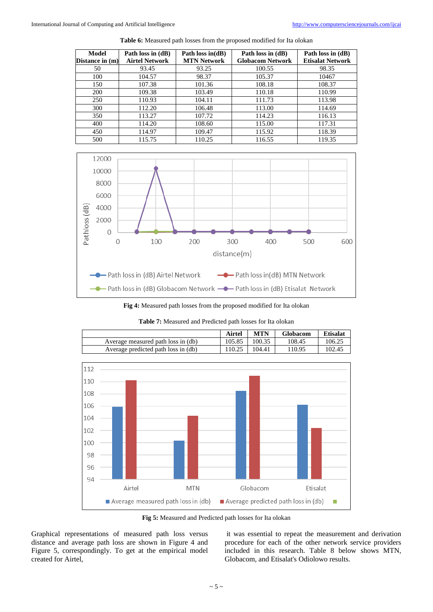| Model           | Path loss in (dB)     | Path loss in $(dB)$ | Path loss in (dB)       | Path loss in (dB)       |
|-----------------|-----------------------|---------------------|-------------------------|-------------------------|
| Distance in (m) | <b>Airtel Network</b> | <b>MTN Network</b>  | <b>Globacom Network</b> | <b>Etisalat Network</b> |
| 50              | 93.45                 | 93.25               | 100.55                  | 98.35                   |
| 100             | 104.57                | 98.37               | 105.37                  | 10467                   |
| 150             | 107.38                | 101.36              | 108.18                  | 108.37                  |
| 200             | 109.38                | 103.49              | 110.18                  | 110.99                  |
| 250             | 110.93                | 104.11              | 111.73                  | 113.98                  |
| 300             | 112.20                | 106.48              | 113.00                  | 114.69                  |
| 350             | 113.27                | 107.72              | 114.23                  | 116.13                  |
| 400             | 114.20                | 108.60              | 115.00                  | 117.31                  |
| 450             | 114.97                | 109.47              | 115.92                  | 118.39                  |
| 500             | 115.75                | 110.25              | 116.55                  | 119.35                  |

**Table 6:** Measured path losses from the proposed modified for Ita olokan



**Fig 4:** Measured path losses from the proposed modified for Ita olokan

**Table 7:** Measured and Predicted path losses for Ita olokan

|                                     | Airtel | <b>MTN</b> | <b>Globacom</b> | <b>Etisalat</b> |
|-------------------------------------|--------|------------|-----------------|-----------------|
| Average measured path loss in (db)  | 105.85 | 100.35     | 108.45          | 106.25          |
| Average predicted path loss in (db) | 110.25 | 104.41     | 110.95          | 102.45          |



**Fig 5:** Measured and Predicted path losses for Ita olokan

Graphical representations of measured path loss versus distance and average path loss are shown in Figure 4 and Figure 5, correspondingly. To get at the empirical model created for Airtel,

it was essential to repeat the measurement and derivation procedure for each of the other network service providers included in this research. Table 8 below shows MTN, Globacom, and Etisalat's Odiolowo results.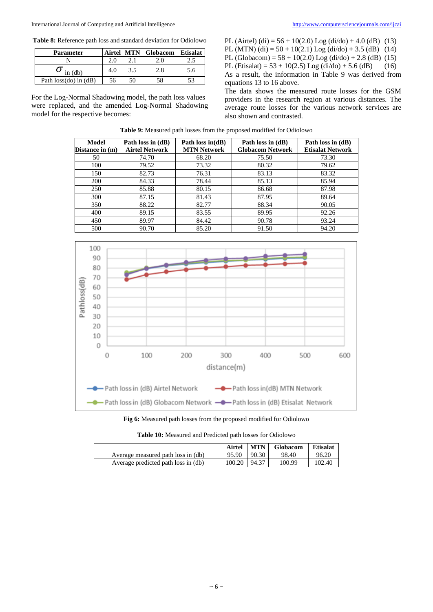**Table 8:** Reference path loss and standard deviation for Odiolowo

| <b>Parameter</b>          |     |     | Airtel MTN Globacom   Etisalat |     |
|---------------------------|-----|-----|--------------------------------|-----|
|                           | 2.0 |     |                                |     |
| $\sigma$ in (db)          | 4.0 | 3.5 | 2.8                            | 5.6 |
| Path $loss(do)$ in $(dB)$ | 56  | 50  | 58                             | 53  |

For the Log-Normal Shadowing model, the path loss values were replaced, and the amended Log-Normal Shadowing model for the respective becomes:

PL (Airtel) (di) =  $56 + 10(2.0)$  Log (di/do) + 4.0 (dB) (13) PL (MTN) (di) =  $50 + 10(2.1)$  Log (di/do) + 3.5 (dB) (14) PL (Globacom) =  $58 + 10(2.0)$  Log (di/do) + 2.8 (dB) (15) PL (Etisalat) =  $53 + 10(2.5)$  Log (di/do) + 5.6 (dB) (16) As a result, the information in Table 9 was derived from equations 13 to 16 above.

The data shows the measured route losses for the GSM providers in the research region at various distances. The average route losses for the various network services are also shown and contrasted.

| Model           | Path loss in (dB)     | Path loss in $(dB)$ | Path loss in (dB)       | Path loss in (dB)       |
|-----------------|-----------------------|---------------------|-------------------------|-------------------------|
| Distance in (m) | <b>Airtel Network</b> | <b>MTN Network</b>  | <b>Globacom Network</b> | <b>Etisalat Network</b> |
| 50              | 74.70                 | 68.20               | 75.50                   | 73.30                   |
| 100             | 79.52                 | 73.32               | 80.32                   | 79.62                   |
| 150             | 82.73                 | 76.31               | 83.13                   | 83.32                   |
| 200             | 84.33                 | 78.44               | 85.13                   | 85.94                   |
| 250             | 85.88                 | 80.15               | 86.68                   | 87.98                   |
| 300             | 87.15                 | 81.43               | 87.95                   | 89.64                   |
| 350             | 88.22                 | 82.77               | 88.34                   | 90.05                   |
| 400             | 89.15                 | 83.55               | 89.95                   | 92.26                   |
| 450             | 89.97                 | 84.42               | 90.78                   | 93.24                   |
| 500             | 90.70                 | 85.20               | 91.50                   | 94.20                   |

**Table 9:** Measured path losses from the proposed modified for Odiolowo



**Fig 6:** Measured path losses from the proposed modified for Odiolowo

| <b>Table 10:</b> Measured and Predicted path losses for Odiolowo |  |  |
|------------------------------------------------------------------|--|--|
|------------------------------------------------------------------|--|--|

|                                     | Airtel | <b>MTN</b> | Globacom | <b>Etisalat</b> |
|-------------------------------------|--------|------------|----------|-----------------|
| Average measured path loss in (db)  | 95.90  | 90.30      | 98.40    | 96.20           |
| Average predicted path loss in (db) | 100.20 | 94.37      | 100.99   | 102.40          |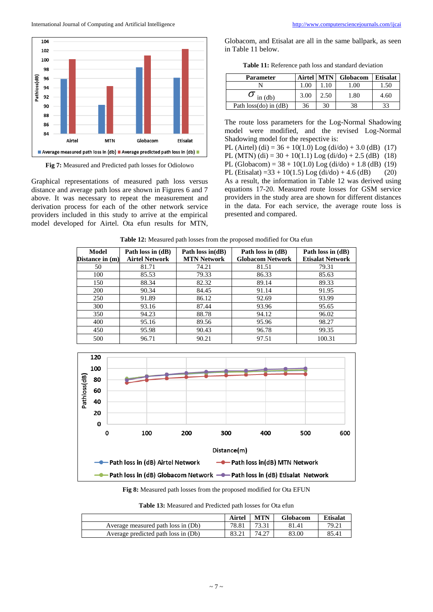International Journal of Computing and Artificial Intelligence <http://www.computersciencejournals.com/ijcai>l



**Fig 7:** Measured and Predicted path losses for Odiolowo

Graphical representations of measured path loss versus distance and average path loss are shown in Figures 6 and 7 above. It was necessary to repeat the measurement and derivation process for each of the other network service providers included in this study to arrive at the empirical model developed for Airtel. Ota efun results for MTN, Globacom, and Etisalat are all in the same ballpark, as seen in Table 11 below.

**Table 11:** Reference path loss and standard deviation

| <b>Parameter</b>          | Airtel MTN |      | Globacom | <b>Etisalat</b> |
|---------------------------|------------|------|----------|-----------------|
|                           | .00        |      | 00.1     | . . 50          |
| $\sigma$ in (db)          | 3.00       | 2.50 | 1.80     | 4.60            |
| Path $loss(do)$ in $(dB)$ | 36         | 30   | 38       | 33              |

The route loss parameters for the Log-Normal Shadowing model were modified, and the revised Log-Normal Shadowing model for the respective is:

PL (Airtel) (di) =  $36 + 10(1.0)$  Log (di/do) + 3.0 (dB) (17)

PL (MTN) (di) =  $30 + 10(1.1)$  Log (di/do) + 2.5 (dB) (18)

PL (Globacom) =  $38 + 10(1.0)$  Log (di/do) + 1.8 (dB) (19) PL (Etisalat) =  $33 + 10(1.5)$  Log (di/do) + 4.6 (dB) (20)

As a result, the information in Table 12 was derived using equations 17-20. Measured route losses for GSM service providers in the study area are shown for different distances in the data. For each service, the average route loss is presented and compared.

| Model           | Path loss in (dB)     | Path loss in(dB)   | Path loss in (dB)       | Path loss in (dB)       |
|-----------------|-----------------------|--------------------|-------------------------|-------------------------|
| Distance in (m) | <b>Airtel Network</b> | <b>MTN Network</b> | <b>Globacom Network</b> | <b>Etisalat Network</b> |
| 50              | 81.71                 | 74.21              | 81.51                   | 79.31                   |
| 100             | 85.53                 | 79.33              | 86.33                   | 85.63                   |
| 150             | 88.34                 | 82.32              | 89.14                   | 89.33                   |
| 200             | 90.34                 | 84.45              | 91.14                   | 91.95                   |
| 250             | 91.89                 | 86.12              | 92.69                   | 93.99                   |
| 300             | 93.16                 | 87.44              | 93.96                   | 95.65                   |
| 350             | 94.23                 | 88.78              | 94.12                   | 96.02                   |
| 400             | 95.16                 | 89.56              | 95.96                   | 98.27                   |
| 450             | 95.98                 | 90.43              | 96.78                   | 99.35                   |
| 500             | 96.71                 | 90.21              | 97.51                   | 100.31                  |

**Table 12:** Measured path losses from the proposed modified for Ota efun



**Fig 8:** Measured path losses from the proposed modified for Ota EFUN

**Table 13:** Measured and Predicted path losses for Ota efun

|                                     | Airtel | <b>MTN</b> | <b>Globacom</b> | <b>Etisalat</b> |
|-------------------------------------|--------|------------|-----------------|-----------------|
| Average measured path loss in (Db)  | 78.81  | 73.31      | 81.41           | 79.21           |
| Average predicted path loss in (Db) | 83.21  | 74.27      | 83.00           | 85.41           |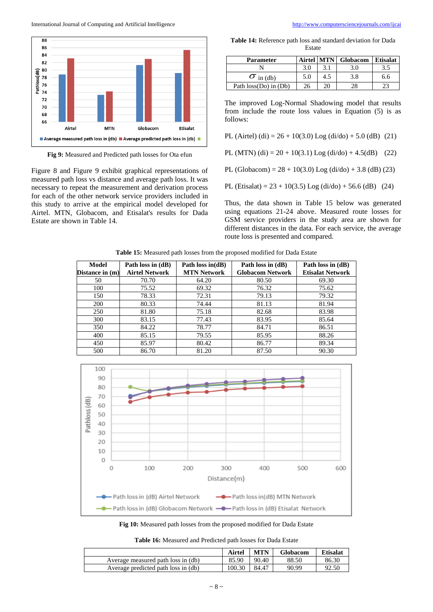International Journal of Computing and Artificial Intelligence <http://www.computersciencejournals.com/ijcai>l



**Fig 9:** Measured and Predicted path losses for Ota efun

Figure 8 and Figure 9 exhibit graphical representations of measured path loss vs distance and average path loss. It was necessary to repeat the measurement and derivation process for each of the other network service providers included in this study to arrive at the empirical model developed for Airtel. MTN, Globacom, and Etisalat's results for Dada Estate are shown in Table 14.

**Table 14:** Reference path loss and standard deviation for Dada Estate

| <b>Parameter</b>          | <b>Airtel</b> |     | <b>MTN</b> Globacom | <b>Etisalat</b> |
|---------------------------|---------------|-----|---------------------|-----------------|
|                           | 3.0           |     | 3.0                 |                 |
| $\sigma$ in (db)          | 5.0           | 4.5 | 3.8                 | 6.6             |
| Path $loss(Do)$ in $(Db)$ |               |     |                     |                 |

The improved Log-Normal Shadowing model that results from include the route loss values in Equation (5) is as follows:

PL (Airtel) (di) =  $26 + 10(3.0)$  Log (di/do) +  $5.0$  (dB) (21)

PL (MTN) (di) =  $20 + 10(3.1)$  Log (di/do) + 4.5(dB) (22)

PL (Globacom) =  $28 + 10(3.0)$  Log (di/do) + 3.8 (dB) (23)

PL (Etisalat) =  $23 + 10(3.5)$  Log (di/do) + 56.6 (dB) (24)

Thus, the data shown in Table 15 below was generated using equations 21-24 above. Measured route losses for GSM service providers in the study area are shown for different distances in the data. For each service, the average route loss is presented and compared.

| Model<br>Distance in (m) | Path loss in (dB)<br><b>Airtel Network</b> | Path loss in $(d)$<br><b>MTN Network</b> | Path loss in (dB)<br><b>Globacom Network</b> | Path loss in (dB)<br><b>Etisalat Network</b> |
|--------------------------|--------------------------------------------|------------------------------------------|----------------------------------------------|----------------------------------------------|
| 50                       | 70.70                                      | 64.20                                    | 80.50                                        | 69.30                                        |
| 100                      | 75.52                                      | 69.32                                    | 76.32                                        | 75.62                                        |
| 150                      | 78.33                                      | 72.31                                    | 79.13                                        | 79.32                                        |
| 200                      | 80.33                                      | 74.44                                    | 81.13                                        | 81.94                                        |
| 250                      | 81.80                                      | 75.18                                    | 82.68                                        | 83.98                                        |
| 300                      | 83.15                                      | 77.43                                    | 83.95                                        | 85.64                                        |
| 350                      | 84.22                                      | 78.77                                    | 84.71                                        | 86.51                                        |
| 400                      | 85.15                                      | 79.55                                    | 85.95                                        | 88.26                                        |
| 450                      | 85.97                                      | 80.42                                    | 86.77                                        | 89.34                                        |
| 500                      | 86.70                                      | 81.20                                    | 87.50                                        | 90.30                                        |

**Table 15:** Measured path losses from the proposed modified for Dada Estate



**Fig 10:** Measured path losses from the proposed modified for Dada Estate

**Table 16:** Measured and Predicted path losses for Dada Estate

|                                     | Airtel | MTN   | Globacom | <b>Etisalat</b> |
|-------------------------------------|--------|-------|----------|-----------------|
| Average measured path loss in (db)  | 85.90  | 90.40 | 88.50    | 86.30           |
| Average predicted path loss in (db) | 100.30 | 84.47 | 90.99    | 92.50           |